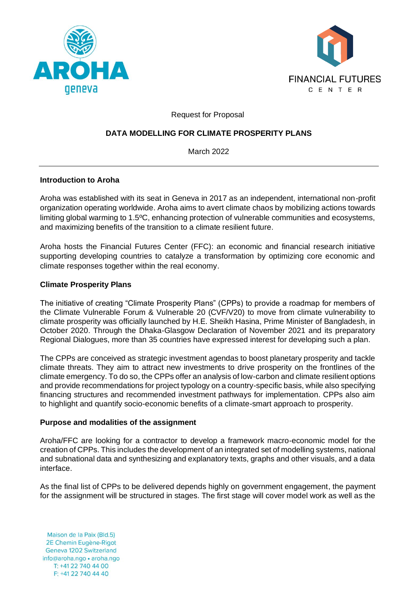



Request for Proposal

# **DATA MODELLING FOR CLIMATE PROSPERITY PLANS**

March 2022

# **Introduction to Aroha**

Aroha was established with its seat in Geneva in 2017 as an independent, international non-profit organization operating worldwide. Aroha aims to avert climate chaos by mobilizing actions towards limiting global warming to 1.5ºC, enhancing protection of vulnerable communities and ecosystems, and maximizing benefits of the transition to a climate resilient future.

Aroha hosts the Financial Futures Center (FFC): an economic and financial research initiative supporting developing countries to catalyze a transformation by optimizing core economic and climate responses together within the real economy.

# **Climate Prosperity Plans**

The initiative of creating "Climate Prosperity Plans" (CPPs) to provide a roadmap for members of the Climate Vulnerable Forum & Vulnerable 20 (CVF/V20) to move from climate vulnerability to climate prosperity was officially launched by H.E. Sheikh Hasina, Prime Minister of Bangladesh, in October 2020. Through the Dhaka-Glasgow Declaration of November 2021 and its preparatory Regional Dialogues, more than 35 countries have expressed interest for developing such a plan.

The CPPs are conceived as strategic investment agendas to boost planetary prosperity and tackle climate threats. They aim to attract new investments to drive prosperity on the frontlines of the climate emergency. To do so, the CPPs offer an analysis of low-carbon and climate resilient options and provide recommendations for project typology on a country-specific basis, while also specifying financing structures and recommended investment pathways for implementation. CPPs also aim to highlight and quantify socio-economic benefits of a climate-smart approach to prosperity.

### **Purpose and modalities of the assignment**

Aroha/FFC are looking for a contractor to develop a framework macro-economic model for the creation of CPPs. This includes the development of an integrated set of modelling systems, national and subnational data and synthesizing and explanatory texts, graphs and other visuals, and a data interface.

As the final list of CPPs to be delivered depends highly on government engagement, the payment for the assignment will be structured in stages. The first stage will cover model work as well as the

Maison de la Paix (Bld.5) 2E Chemin Eugène-Rigot Geneva 1202 Switzerland info@aroha.ngo · aroha.ngo T: +41 22 740 44 00 F: +41 22 740 44 40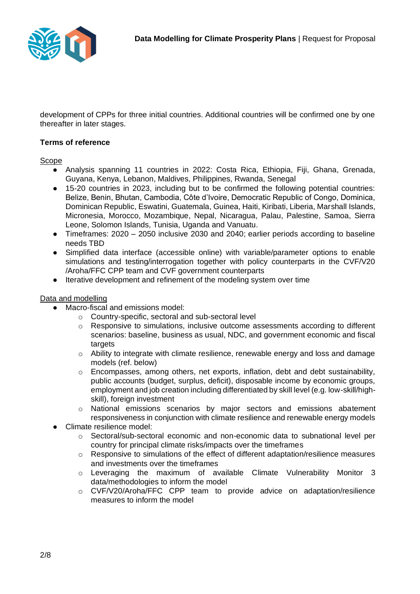

development of CPPs for three initial countries. Additional countries will be confirmed one by one thereafter in later stages.

# **Terms of reference**

Scope

- Analysis spanning 11 countries in 2022: Costa Rica, Ethiopia, Fiji, Ghana, Grenada, Guyana, Kenya, Lebanon, Maldives, Philippines, Rwanda, Senegal
- 15-20 countries in 2023, including but to be confirmed the following potential countries: Belize, Benin, Bhutan, Cambodia, Côte d'Ivoire, Democratic Republic of Congo, Dominica, Dominican Republic, Eswatini, Guatemala, Guinea, Haiti, Kiribati, Liberia, Marshall Islands, Micronesia, Morocco, Mozambique, Nepal, Nicaragua, Palau, Palestine, Samoa, Sierra Leone, Solomon Islands, Tunisia, Uganda and Vanuatu.
- Timeframes: 2020 2050 inclusive 2030 and 2040; earlier periods according to baseline needs TBD
- Simplified data interface (accessible online) with variable/parameter options to enable simulations and testing/interrogation together with policy counterparts in the CVF/V20 /Aroha/FFC CPP team and CVF government counterparts
- Iterative development and refinement of the modeling system over time

### Data and modelling

- Macro-fiscal and emissions model:
	- o Country-specific, sectoral and sub-sectoral level
	- o Responsive to simulations, inclusive outcome assessments according to different scenarios: baseline, business as usual, NDC, and government economic and fiscal targets
	- o Ability to integrate with climate resilience, renewable energy and loss and damage models (ref. below)
	- o Encompasses, among others, net exports, inflation, debt and debt sustainability, public accounts (budget, surplus, deficit), disposable income by economic groups, employment and job creation including differentiated by skill level (e.g. low-skill/highskill), foreign investment
	- o National emissions scenarios by major sectors and emissions abatement responsiveness in conjunction with climate resilience and renewable energy models
- Climate resilience model:
	- o Sectoral/sub-sectoral economic and non-economic data to subnational level per country for principal climate risks/impacts over the timeframes
	- o Responsive to simulations of the effect of different adaptation/resilience measures and investments over the timeframes
	- $\circ$  Leveraging the maximum of available Climate Vulnerability Monitor 3 data/methodologies to inform the model
	- o CVF/V20/Aroha/FFC CPP team to provide advice on adaptation/resilience measures to inform the model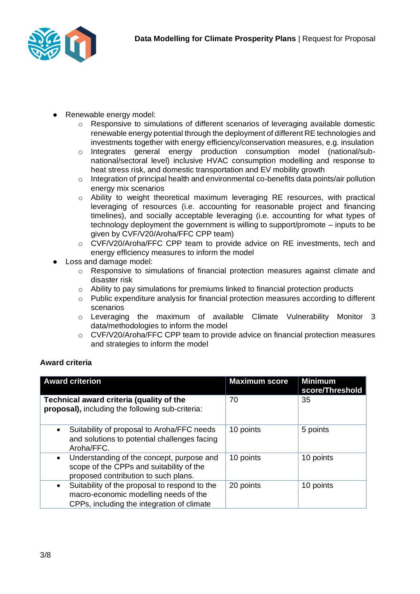

- Renewable energy model:
	- o Responsive to simulations of different scenarios of leveraging available domestic renewable energy potential through the deployment of different RE technologies and investments together with energy efficiency/conservation measures, e.g. insulation
	- o Integrates general energy production consumption model (national/subnational/sectoral level) inclusive HVAC consumption modelling and response to heat stress risk, and domestic transportation and EV mobility growth
	- $\circ$  Integration of principal health and environmental co-benefits data points/air pollution energy mix scenarios
	- $\circ$  Ability to weight theoretical maximum leveraging RE resources, with practical leveraging of resources (i.e. accounting for reasonable project and financing timelines), and socially acceptable leveraging (i.e. accounting for what types of technology deployment the government is willing to support/promote – inputs to be given by CVF/V20/Aroha/FFC CPP team)
	- o CVF/V20/Aroha/FFC CPP team to provide advice on RE investments, tech and energy efficiency measures to inform the model
- Loss and damage model:
	- o Responsive to simulations of financial protection measures against climate and disaster risk
	- o Ability to pay simulations for premiums linked to financial protection products
	- o Public expenditure analysis for financial protection measures according to different scenarios
	- o Leveraging the maximum of available Climate Vulnerability Monitor 3 data/methodologies to inform the model
	- $\circ$  CVF/V20/Aroha/FFC CPP team to provide advice on financial protection measures and strategies to inform the model

### **Award criteria**

| <b>Award criterion</b>                                                                                                                            | <b>Maximum score</b> | <b>Minimum</b><br>score/Threshold |
|---------------------------------------------------------------------------------------------------------------------------------------------------|----------------------|-----------------------------------|
| Technical award criteria (quality of the<br>proposal), including the following sub-criteria:                                                      | 70                   | 35                                |
| Suitability of proposal to Aroha/FFC needs<br>$\bullet$<br>and solutions to potential challenges facing<br>Aroha/FFC.                             | 10 points            | 5 points                          |
| Understanding of the concept, purpose and<br>$\bullet$<br>scope of the CPPs and suitability of the<br>proposed contribution to such plans.        | 10 points            | 10 points                         |
| Suitability of the proposal to respond to the<br>$\bullet$<br>macro-economic modelling needs of the<br>CPPs, including the integration of climate | 20 points            | 10 points                         |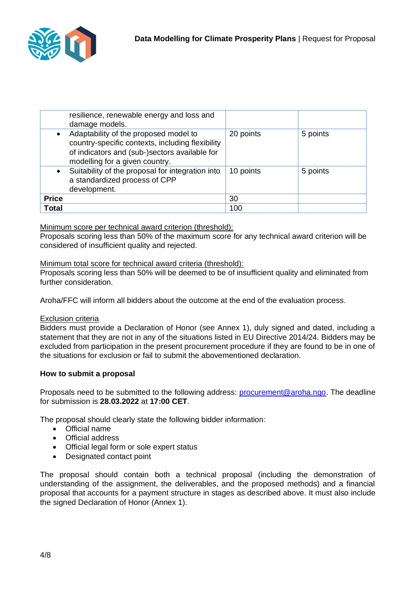

|              | resilience, renewable energy and loss and<br>damage models.                                                                                                                  |           |          |
|--------------|------------------------------------------------------------------------------------------------------------------------------------------------------------------------------|-----------|----------|
| $\bullet$    | Adaptability of the proposed model to<br>country-specific contexts, including flexibility<br>of indicators and (sub-)sectors available for<br>modelling for a given country. | 20 points | 5 points |
|              | Suitability of the proposal for integration into<br>a standardized process of CPP<br>development.                                                                            | 10 points | 5 points |
| <b>Price</b> |                                                                                                                                                                              | 30        |          |
| <b>Total</b> |                                                                                                                                                                              | 100       |          |

### Minimum score per technical award criterion (threshold):

Proposals scoring less than 50% of the maximum score for any technical award criterion will be considered of insufficient quality and rejected.

#### Minimum total score for technical award criteria (threshold):

Proposals scoring less than 50% will be deemed to be of insufficient quality and eliminated from further consideration.

Aroha/FFC will inform all bidders about the outcome at the end of the evaluation process.

#### Exclusion criteria

Bidders must provide a Declaration of Honor (see Annex 1), duly signed and dated, including a statement that they are not in any of the situations listed in EU Directive 2014/24. Bidders may be excluded from participation in the present procurement procedure if they are found to be in one of the situations for exclusion or fail to submit the abovementioned declaration.

### **How to submit a proposal**

Proposals need to be submitted to the following address: [procurement@aroha.ngo.](mailto:procurement@aroha.ngo) The deadline for submission is **28.03.2022** at **17:00 CET**.

The proposal should clearly state the following bidder information:

- Official name
- Official address
- Official legal form or sole expert status
- Designated contact point

The proposal should contain both a technical proposal (including the demonstration of understanding of the assignment, the deliverables, and the proposed methods) and a financial proposal that accounts for a payment structure in stages as described above. It must also include the signed Declaration of Honor (Annex 1).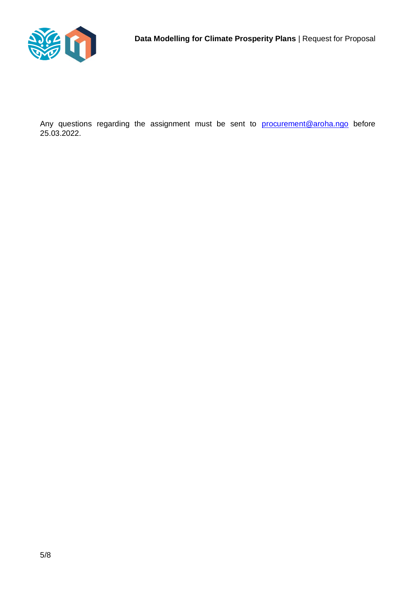

Any questions regarding the assignment must be sent to **[procurement@aroha.ngo](mailto:procurement@aroha.ngo)** before 25.03.2022.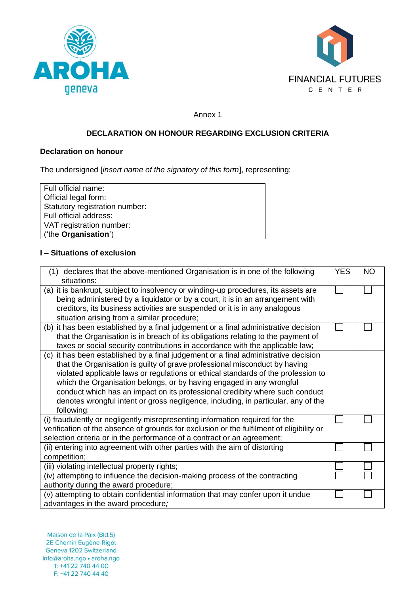



### Annex 1

# **DECLARATION ON HONOUR REGARDING EXCLUSION CRITERIA**

# **Declaration on honour**

The undersigned [*insert name of the signatory of this form*], representing:

Full official name: Official legal form: Statutory registration number**:**  Full official address: VAT registration number: ('the **Organisation**')

# **I – Situations of exclusion**

| (1) declares that the above-mentioned Organisation is in one of the following<br>situations:                                                                                                                                                                                                                                                                                                                                                                                                                      | <b>YES</b> | <b>NO</b> |
|-------------------------------------------------------------------------------------------------------------------------------------------------------------------------------------------------------------------------------------------------------------------------------------------------------------------------------------------------------------------------------------------------------------------------------------------------------------------------------------------------------------------|------------|-----------|
| (a) it is bankrupt, subject to insolvency or winding-up procedures, its assets are<br>being administered by a liquidator or by a court, it is in an arrangement with<br>creditors, its business activities are suspended or it is in any analogous<br>situation arising from a similar procedure;                                                                                                                                                                                                                 |            |           |
| (b) it has been established by a final judgement or a final administrative decision<br>that the Organisation is in breach of its obligations relating to the payment of<br>taxes or social security contributions in accordance with the applicable law;                                                                                                                                                                                                                                                          |            |           |
| (c) it has been established by a final judgement or a final administrative decision<br>that the Organisation is guilty of grave professional misconduct by having<br>violated applicable laws or regulations or ethical standards of the profession to<br>which the Organisation belongs, or by having engaged in any wrongful<br>conduct which has an impact on its professional credibity where such conduct<br>denotes wrongful intent or gross negligence, including, in particular, any of the<br>following: |            |           |
| (i) fraudulently or negligently misrepresenting information required for the<br>verification of the absence of grounds for exclusion or the fulfilment of eligibility or<br>selection criteria or in the performance of a contract or an agreement;                                                                                                                                                                                                                                                               |            |           |
| (ii) entering into agreement with other parties with the aim of distorting<br>competition;                                                                                                                                                                                                                                                                                                                                                                                                                        |            |           |
| (iii) violating intellectual property rights;                                                                                                                                                                                                                                                                                                                                                                                                                                                                     |            |           |
| (iv) attempting to influence the decision-making process of the contracting<br>authority during the award procedure;                                                                                                                                                                                                                                                                                                                                                                                              |            |           |
| (v) attempting to obtain confidential information that may confer upon it undue<br>advantages in the award procedure;                                                                                                                                                                                                                                                                                                                                                                                             |            |           |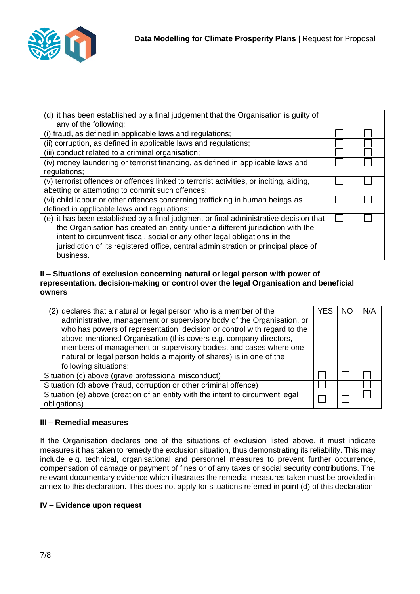

| (d) it has been established by a final judgement that the Organisation is guilty of     |  |
|-----------------------------------------------------------------------------------------|--|
| any of the following:                                                                   |  |
| (i) fraud, as defined in applicable laws and regulations;                               |  |
| (ii) corruption, as defined in applicable laws and regulations;                         |  |
| (iii) conduct related to a criminal organisation;                                       |  |
| (iv) money laundering or terrorist financing, as defined in applicable laws and         |  |
| regulations;                                                                            |  |
| (v) terrorist offences or offences linked to terrorist activities, or inciting, aiding, |  |
| abetting or attempting to commit such offences;                                         |  |
| (vi) child labour or other offences concerning trafficking in human beings as           |  |
| defined in applicable laws and regulations;                                             |  |
| (e) it has been established by a final judgment or final administrative decision that   |  |
| the Organisation has created an entity under a different jurisdiction with the          |  |
| intent to circumvent fiscal, social or any other legal obligations in the               |  |
| jurisdiction of its registered office, central administration or principal place of     |  |
| business.                                                                               |  |

### **II – Situations of exclusion concerning natural or legal person with power of representation, decision-making or control over the legal Organisation and beneficial owners**

| (2) declares that a natural or legal person who is a member of the<br>administrative, management or supervisory body of the Organisation, or<br>who has powers of representation, decision or control with regard to the<br>above-mentioned Organisation (this covers e.g. company directors,<br>members of management or supervisory bodies, and cases where one<br>natural or legal person holds a majority of shares) is in one of the<br>following situations: | YES | N/A |
|--------------------------------------------------------------------------------------------------------------------------------------------------------------------------------------------------------------------------------------------------------------------------------------------------------------------------------------------------------------------------------------------------------------------------------------------------------------------|-----|-----|
| Situation (c) above (grave professional misconduct)                                                                                                                                                                                                                                                                                                                                                                                                                |     |     |
| Situation (d) above (fraud, corruption or other criminal offence)                                                                                                                                                                                                                                                                                                                                                                                                  |     |     |
| Situation (e) above (creation of an entity with the intent to circumvent legal<br>obligations)                                                                                                                                                                                                                                                                                                                                                                     |     |     |

# **III – Remedial measures**

If the Organisation declares one of the situations of exclusion listed above, it must indicate measures it has taken to remedy the exclusion situation, thus demonstrating its reliability. This may include e.g. technical, organisational and personnel measures to prevent further occurrence, compensation of damage or payment of fines or of any taxes or social security contributions. The relevant documentary evidence which illustrates the remedial measures taken must be provided in annex to this declaration. This does not apply for situations referred in point (d) of this declaration.

# **IV – Evidence upon request**